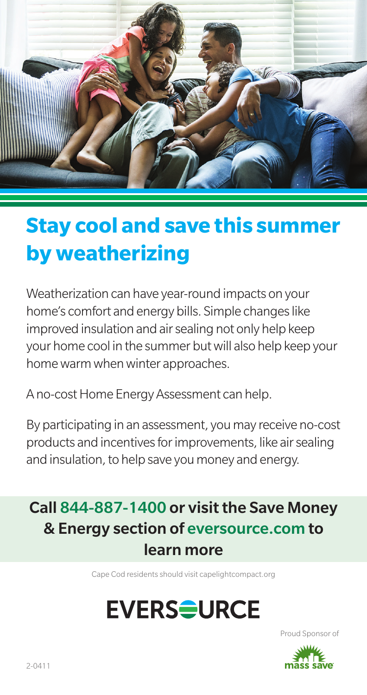

### **Stay cool and save this summer by weatherizing**

Weatherization can have year-round impacts on your home's comfort and energy bills. Simple changes like improved insulation and air sealing not only help keep your home cool in the summer but will also help keep your home warm when winter approaches.

A no-cost Home Energy Assessment can help.

By participating in an assessment, you may receive no-cost products and incentives for improvements, like air sealing and insulation, to help save you money and energy.

### Call 844-887-1400 or visit the Save Money & Energy section of eversource.com to learn more

Cape Cod residents should visit capelightcompact.org

# **EVERS<del>Q</del>URCE**

Proud Sponsor of